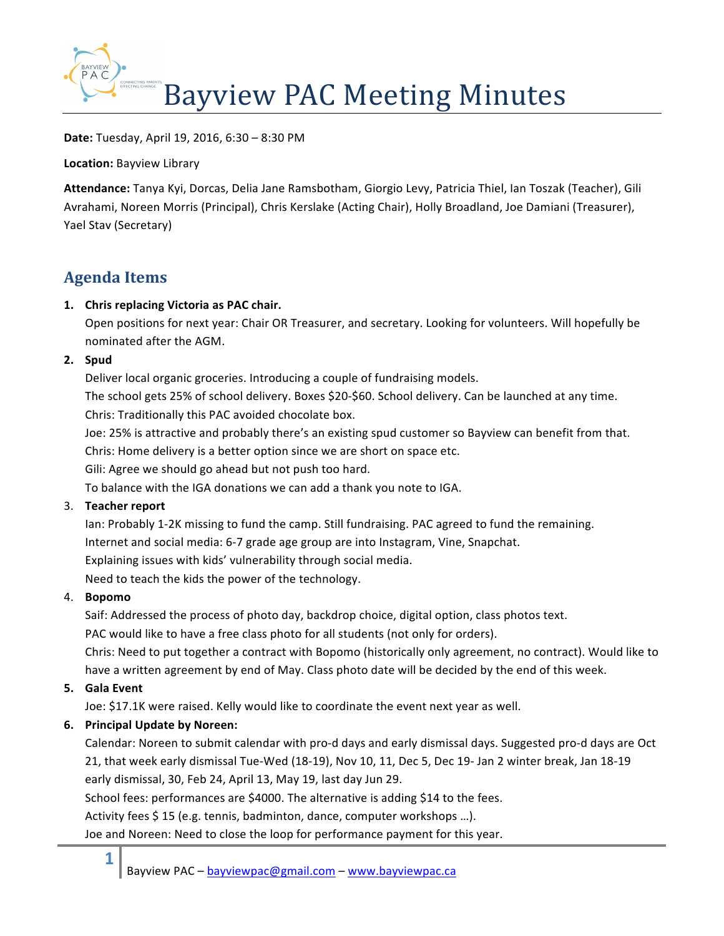

**Date:** Tuesday, April 19, 2016, 6:30 – 8:30 PM

**Location: Bayview Library** 

Attendance: Tanya Kyi, Dorcas, Delia Jane Ramsbotham, Giorgio Levy, Patricia Thiel, Ian Toszak (Teacher), Gili Avrahami, Noreen Morris (Principal), Chris Kerslake (Acting Chair), Holly Broadland, Joe Damiani (Treasurer), Yael Stav (Secretary)

# **Agenda Items**

## 1. Chris replacing Victoria as PAC chair.

Open positions for next year: Chair OR Treasurer, and secretary. Looking for volunteers. Will hopefully be nominated after the AGM.

### **2. Spud**

Deliver local organic groceries. Introducing a couple of fundraising models.

The school gets 25% of school delivery. Boxes \$20-\$60. School delivery. Can be launched at any time. Chris: Traditionally this PAC avoided chocolate box.

Joe: 25% is attractive and probably there's an existing spud customer so Bayview can benefit from that.

Chris: Home delivery is a better option since we are short on space etc.

Gili: Agree we should go ahead but not push too hard.

To balance with the IGA donations we can add a thank you note to IGA.

## 3. **Teacher report**

Ian: Probably 1-2K missing to fund the camp. Still fundraising. PAC agreed to fund the remaining. Internet and social media: 6-7 grade age group are into Instagram, Vine, Snapchat. Explaining issues with kids' vulnerability through social media.

Need to teach the kids the power of the technology.

## 4. **Bopomo**

Saif: Addressed the process of photo day, backdrop choice, digital option, class photos text.

PAC would like to have a free class photo for all students (not only for orders).

Chris: Need to put together a contract with Bopomo (historically only agreement, no contract). Would like to have a written agreement by end of May. Class photo date will be decided by the end of this week.

## **5. Gala Event**

**1**

Joe: \$17.1K were raised. Kelly would like to coordinate the event next year as well.

## **6. Principal Update by Noreen:**

Calendar: Noreen to submit calendar with pro-d days and early dismissal days. Suggested pro-d days are Oct 21, that week early dismissal Tue-Wed (18-19), Nov 10, 11, Dec 5, Dec 19- Jan 2 winter break, Jan 18-19 early dismissal, 30, Feb 24, April 13, May 19, last day Jun 29.

School fees: performances are \$4000. The alternative is adding \$14 to the fees.

Activity fees \$15 (e.g. tennis, badminton, dance, computer workshops ...).

Joe and Noreen: Need to close the loop for performance payment for this year.